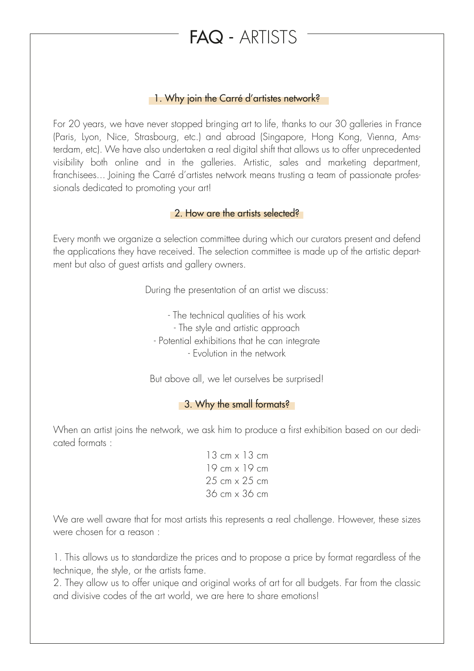# FAQ - ARTISTS

## 1. Why join the Carré d'artistes network?

For 20 years, we have never stopped bringing art to life, thanks to our 30 galleries in France (Paris, Lyon, Nice, Strasbourg, etc.) and abroad (Singapore, Hong Kong, Vienna, Amsterdam, etc). We have also undertaken a real digital shift that allows us to offer unprecedented visibility both online and in the galleries. Artistic, sales and marketing department, franchisees... Joining the Carré d'artistes network means trusting a team of passionate professionals dedicated to promoting your art!

## **2. How are the artists selected?**

Every month we organize a selection committee during which our curators present and defend the applications they have received. The selection committee is made up of the artistic department but also of guest artists and gallery owners.

During the presentation of an artist we discuss:

- The technical qualities of his work - The style and artistic approach - Potential exhibitions that he can integrate - Evolution in the network

But above all, we let ourselves be surprised!

### **3. Why the small formats?**

When an artist joins the network, we ask him to produce a first exhibition based on our dedicated formats :

> 13 cm x 13 cm 19 cm x 19 cm 25 cm x 25 cm 36 cm x 36 cm

We are well aware that for most artists this represents a real challenge. However, these sizes were chosen for a reason :

1. This allows us to standardize the prices and to propose a price by format regardless of the technique, the style, or the artists fame.

2. They allow us to offer unique and original works of art for all budgets. Far from the classic and divisive codes of the art world, we are here to share emotions!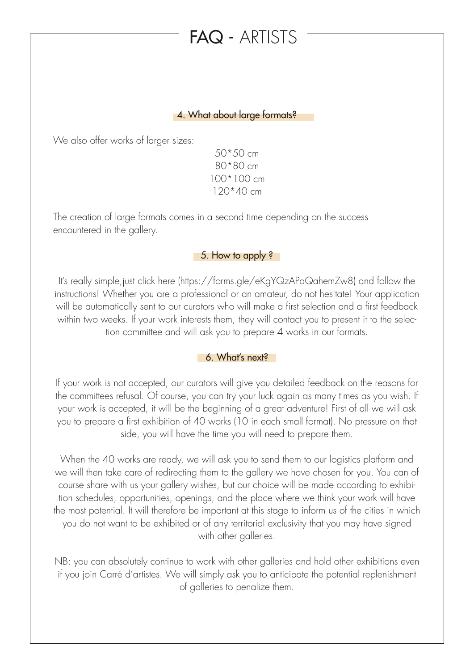# FAQ - ARTISTS

#### 4. What about large formats?

We also offer works of larger sizes:

50\*50 cm 80\*80 cm 100\*100 cm 120\*40 cm

The creation of large formats comes in a second time depending on the success encountered in the gallery.

#### 5. How to apply ?

It's really simple,just click here (https://forms.gle/eKgYQzAPaQahemZw8) and follow the instructions! Whether you are a professional or an amateur, do not hesitate! Your application will be automatically sent to our curators who will make a first selection and a first feedback within two weeks. If your work interests them, they will contact you to present it to the selection committee and will ask you to prepare 4 works in our formats.

## 6. What's next?

If your work is not accepted, our curators will give you detailed feedback on the reasons for the committees refusal. Of course, you can try your luck again as many times as you wish. If your work is accepted, it will be the beginning of a great adventure! First of all we will ask you to prepare a first exhibition of 40 works (10 in each small format). No pressure on that side, you will have the time you will need to prepare them.

When the 40 works are ready, we will ask you to send them to our logistics platform and we will then take care of redirecting them to the gallery we have chosen for you. You can of course share with us your gallery wishes, but our choice will be made according to exhibition schedules, opportunities, openings, and the place where we think your work will have the most potential. It will therefore be important at this stage to inform us of the cities in which you do not want to be exhibited or of any territorial exclusivity that you may have signed with other galleries.

NB: you can absolutely continue to work with other galleries and hold other exhibitions even if you join Carré d'artistes. We will simply ask you to anticipate the potential replenishment of galleries to penalize them.